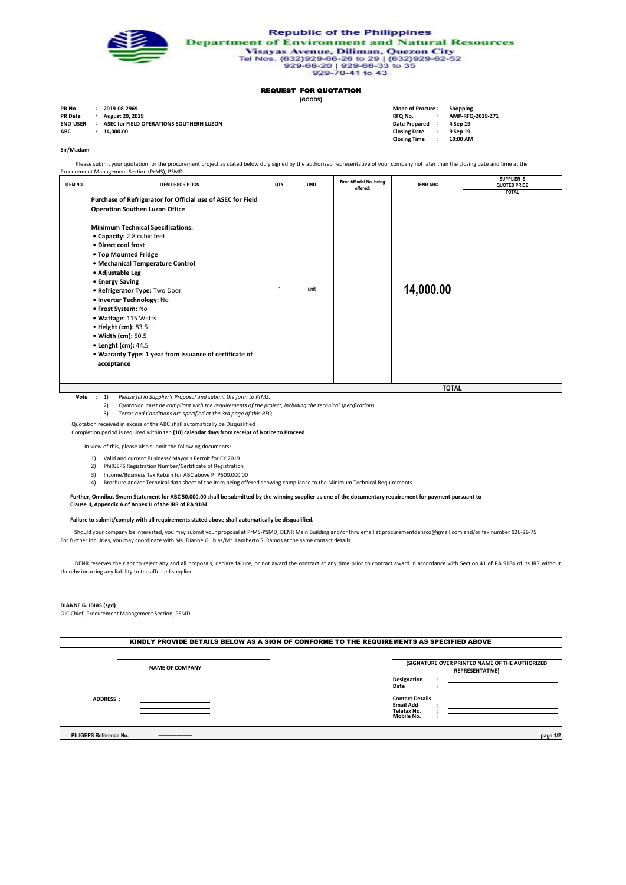

**Republic of the Philippines Department of Environment and Natural Resources** ment of Environment and Natural Review Disayas Avenue, Diliman, Quezon City<br>Tel Nos. {632}929-66-26 to 29 | {632}929-62-52<br>929-66-20 | 929-66-33 to 35<br>929-70-41 to 43

## REQUEST FOR QUOTATION

**(GOODS)**

| PR No.          | 2019-08-2969                             | Mode of Procure:     | Shopping         |
|-----------------|------------------------------------------|----------------------|------------------|
| <b>PR Date</b>  | <b>August 20, 2019</b>                   | RFQ No.              | AMP-RFQ-2019-271 |
| <b>END-USER</b> | ASEC for FIELD OPERATIONS SOUTHERN LUZON | <b>Date Prepared</b> | 4 Sep 19         |
| <b>ABC</b>      | 14.000.00                                | <b>Closing Date</b>  | 9 Sep 19         |
|                 |                                          | <b>Closing Time</b>  | 10:00 AM         |
|                 |                                          |                      |                  |

**Sir/Madam**

Please submit your quotation for the procurement project as stated below duly signed by the authorized representative of your company not later than the closing date and time at the

|          | Procurement Management Section (PrMS), PSMD.                                                                                                                                                                                                                                                                                                                                                                                                                                                                                                                      |      |             |                                   |                           |                                             |
|----------|-------------------------------------------------------------------------------------------------------------------------------------------------------------------------------------------------------------------------------------------------------------------------------------------------------------------------------------------------------------------------------------------------------------------------------------------------------------------------------------------------------------------------------------------------------------------|------|-------------|-----------------------------------|---------------------------|---------------------------------------------|
| ITEM NO. | <b>ITEM DESCRIPTION</b>                                                                                                                                                                                                                                                                                                                                                                                                                                                                                                                                           | QTY. | <b>UNIT</b> | Brand/Model No. being<br>offered: | <b>DENR ABC</b>           | SUPPLIER 'S<br>QUOTED PRICE<br><b>TOTAL</b> |
|          | Purchase of Refrigerator for Official use of ASEC for Field<br><b>Operation Southen Luzon Office</b><br><b>Minimum Technical Specifications:</b><br>• Capacity: 2.8 cubic feet<br>. Direct cool frost<br>• Top Mounted Fridge<br>• Mechanical Temperature Control<br>• Adjustable Leg<br>• Energy Saving<br>. Refrigerator Type: Two Door<br>· Inverter Technology: No<br>• Frost System: No<br>• Wattage: 115 Watts<br>• Height (cm): 83.5<br>• Width (cm): 50.5<br>• Lenght (cm): 44.5<br>• Warranty Type: 1 year from issuance of certificate of<br>acceptance |      | unit        |                                   | 14,000.00<br><b>TOTAL</b> |                                             |
|          |                                                                                                                                                                                                                                                                                                                                                                                                                                                                                                                                                                   |      |             |                                   |                           |                                             |

**:** 1) *Note Please fill in Supplier's Proposal and submit the form to PrMS.*

2) *Quotation must be compliant with the requirements of the project, including the technical specifications.*

- 3) *Terms and Conditions are specified at the 3rd page of this RFQ.*
- Quotation received in excess of the ABC shall automatically be Disqualified

Completion period is required within ten **(10) calendar days from receipt of Notice to Proceed**.

In view of this, please also submit the following documents:

- 1) Valid and current Business/ Mayor's Permit for CY 2019
- 2) PhilGEPS Registration Number/Certificate of Registration
- 3) Income/Business Tax Return for ABC above PhP500,000.00
- 4) Brochure and/or Technical data sheet of the item being offered showing compliance to the Minimum Technical Requirements

 **Further, Omnibus Sworn Statement for ABC 50,000.00 shall be submitted by the winning supplier as one of the documentary requirement for payment pursuant to**

 **Clause II, Appendix A of Annex H of the IRR of RA 9184**

## **Failure to submit/comply with all requirements stated above shall automatically be disqualified.**

 Should your company be interested, you may submit your proposal at PrMS-PSMD, DENR Main Building and/or thru email at procurementdenrco@gmail.com and/or fax number 926-26-75. For further inquiries, you may coordinate with Ms. Dianne G. Ibias/Mr. Lamberto S. Ramos at the same contact details.

DENR reserves the right to reject any and all proposals, declare failure, or not award the contract at any time prior to contract award in accordance with Section 41 of RA 9184 of its IRR without thereby incurring any liability to the affected supplier.

## **DIANNE G. IBIAS (sgd)**

OIC Chief, Procurement Management Section, PSMD

| <b>NAME OF COMPANY</b> | (SIGNATURE OVER PRINTED NAME OF THE AUTHORIZED<br><b>REPRESENTATIVE)</b> |  |  |  |
|------------------------|--------------------------------------------------------------------------|--|--|--|
|                        | <b>Designation</b><br>Date                                               |  |  |  |
| <b>ADDRESS:</b>        | <b>Contact Details</b><br><b>Email Add</b><br>Telefax No.<br>Mobile No.  |  |  |  |